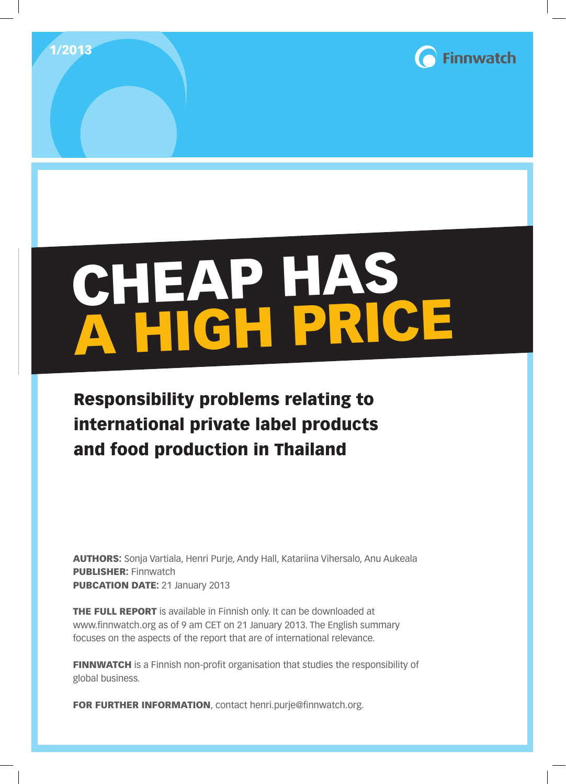



# CHEAP HAS A HIGH PRICE

# Responsibility problems relating to international private label products and food production in Thailand

AUTHORS: Sonja Vartiala, Henri Purje, Andy Hall, Katariina Vihersalo, Anu Aukeala PUBLISHER: Finnwatch PUBCATION DATE: 21 January 2013

THE FULL REPORT is available in Finnish only. It can be downloaded at www.finnwatch.org as of 9 am CET on 21 January 2013. The English summary focuses on the aspects of the report that are of international relevance.

FINNWATCH is a Finnish non-profit organisation that studies the responsibility of global business.

FOR FURTHER INFORMATION, contact henri.purje@finnwatch.org.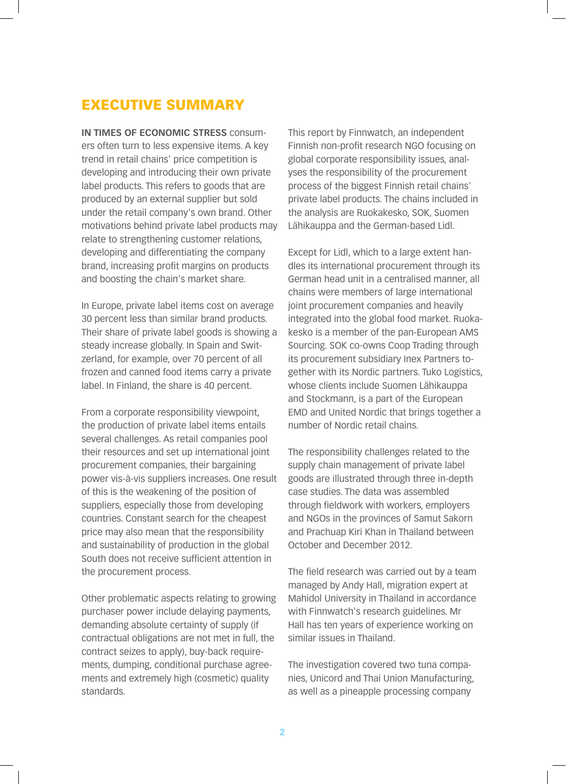# EXECUTIVE SUMMARY

**IN TIMES OF ECONOMIC STRESS** consumers often turn to less expensive items. A key trend in retail chains' price competition is developing and introducing their own private label products. This refers to goods that are produced by an external supplier but sold under the retail company's own brand. Other motivations behind private label products may relate to strengthening customer relations, developing and differentiating the company brand, increasing profit margins on products and boosting the chain's market share.

In Europe, private label items cost on average 30 percent less than similar brand products. Their share of private label goods is showing a steady increase globally. In Spain and Switzerland, for example, over 70 percent of all frozen and canned food items carry a private label. In Finland, the share is 40 percent.

From a corporate responsibility viewpoint, the production of private label items entails several challenges. As retail companies pool their resources and set up international joint procurement companies, their bargaining power vis-à-vis suppliers increases. One result of this is the weakening of the position of suppliers, especially those from developing countries. Constant search for the cheapest price may also mean that the responsibility and sustainability of production in the global South does not receive sufficient attention in the procurement process.

Other problematic aspects relating to growing purchaser power include delaying payments, demanding absolute certainty of supply (if contractual obligations are not met in full, the contract seizes to apply), buy-back requirements, dumping, conditional purchase agreements and extremely high (cosmetic) quality standards.

This report by Finnwatch, an independent Finnish non-profit research NGO focusing on global corporate responsibility issues, analyses the responsibility of the procurement process of the biggest Finnish retail chains' private label products. The chains included in the analysis are Ruokakesko, SOK, Suomen Lähikauppa and the German-based Lidl.

Except for Lidl, which to a large extent handles its international procurement through its German head unit in a centralised manner, all chains were members of large international joint procurement companies and heavily integrated into the global food market. Ruokakesko is a member of the pan-European AMS Sourcing. SOK co-owns Coop Trading through its procurement subsidiary Inex Partners together with its Nordic partners. Tuko Logistics, whose clients include Suomen Lähikauppa and Stockmann, is a part of the European EMD and United Nordic that brings together a number of Nordic retail chains.

The responsibility challenges related to the supply chain management of private label goods are illustrated through three in-depth case studies. The data was assembled through fieldwork with workers, employers and NGOs in the provinces of Samut Sakorn and Prachuap Kiri Khan in Thailand between October and December 2012.

The field research was carried out by a team managed by Andy Hall, migration expert at Mahidol University in Thailand in accordance with Finnwatch's research guidelines. Mr Hall has ten years of experience working on similar issues in Thailand.

The investigation covered two tuna companies, Unicord and Thai Union Manufacturing, as well as a pineapple processing company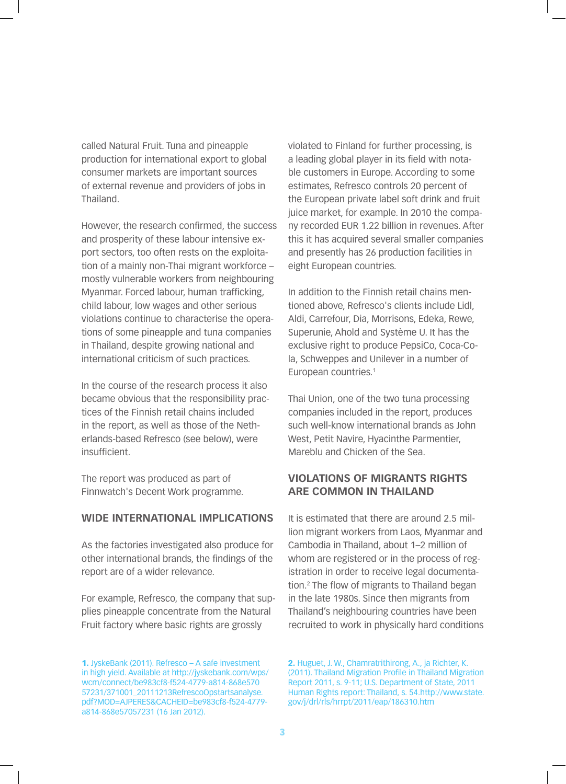called Natural Fruit. Tuna and pineapple production for international export to global consumer markets are important sources of external revenue and providers of jobs in Thailand.

However, the research confirmed, the success and prosperity of these labour intensive export sectors, too often rests on the exploitation of a mainly non-Thai migrant workforce – mostly vulnerable workers from neighbouring Myanmar. Forced labour, human trafficking, child labour, low wages and other serious violations continue to characterise the operations of some pineapple and tuna companies in Thailand, despite growing national and international criticism of such practices.

In the course of the research process it also became obvious that the responsibility practices of the Finnish retail chains included in the report, as well as those of the Netherlands-based Refresco (see below), were insufficient.

The report was produced as part of Finnwatch's Decent Work programme.

# **WIDE INTERNATIONAL IMPLICATIONS**

As the factories investigated also produce for other international brands, the findings of the report are of a wider relevance.

For example, Refresco, the company that supplies pineapple concentrate from the Natural Fruit factory where basic rights are grossly

1. JyskeBank (2011). Refresco – A safe investment in high yield. Available at http://jyskebank.com/wps/ wcm/connect/be983cf8-f524-4779-a814-868e570 57231/371001\_20111213RefrescoOpstartsanalyse. pdf?MOD=AJPERES&CACHEID=be983cf8-f524-4779 a814-868e57057231 (16 Jan 2012).

violated to Finland for further processing, is a leading global player in its field with notable customers in Europe. According to some estimates, Refresco controls 20 percent of the European private label soft drink and fruit juice market, for example. In 2010 the company recorded EUR 1.22 billion in revenues. After this it has acquired several smaller companies and presently has 26 production facilities in eight European countries.

In addition to the Finnish retail chains mentioned above, Refresco's clients include Lidl, Aldi, Carrefour, Dia, Morrisons, Edeka, Rewe, Superunie, Ahold and Système U. It has the exclusive right to produce PepsiCo, Coca-Cola, Schweppes and Unilever in a number of European countries.<sup>1</sup>

Thai Union, one of the two tuna processing companies included in the report, produces such well-know international brands as John West, Petit Navire, Hyacinthe Parmentier, Mareblu and Chicken of the Sea.

# **VIOLATIONS OF MIGRANTS RIGHTS ARE COMMON IN THAILAND**

It is estimated that there are around 2.5 million migrant workers from Laos, Myanmar and Cambodia in Thailand, about 1–2 million of whom are registered or in the process of registration in order to receive legal documentation.2 The flow of migrants to Thailand began in the late 1980s. Since then migrants from Thailand's neighbouring countries have been recruited to work in physically hard conditions

2. Huguet, J. W., Chamratrithirong, A., ja Richter, K. (2011). Thailand Migration Profile in Thailand Migration Report 2011, s. 9-11; U.S. Department of State, 2011 Human Rights report: Thailand, s. 54.http://www.state. gov/j/drl/rls/hrrpt/2011/eap/186310.htm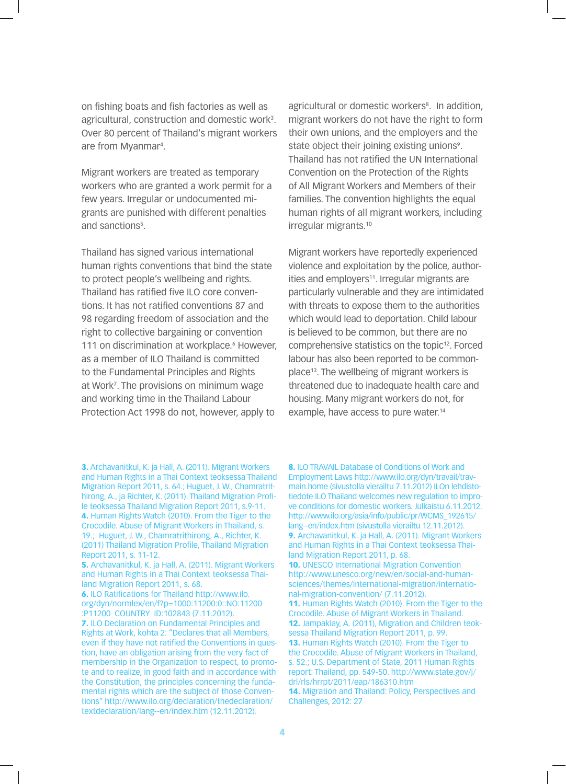on fishing boats and fish factories as well as agricultural, construction and domestic work<sup>3</sup>. Over 80 percent of Thailand's migrant workers are from Myanmar4 .

Migrant workers are treated as temporary workers who are granted a work permit for a few years. Irregular or undocumented migrants are punished with different penalties and sanctions<sup>5</sup>.

Thailand has signed various international human rights conventions that bind the state to protect people's wellbeing and rights. Thailand has ratified five ILO core conventions. It has not ratified conventions 87 and 98 regarding freedom of association and the right to collective bargaining or convention 111 on discrimination at workplace.<sup>6</sup> However, as a member of ILO Thailand is committed to the Fundamental Principles and Rights at Work7 . The provisions on minimum wage and working time in the Thailand Labour Protection Act 1998 do not, however, apply to

6. ILO Ratifications for Thailand http://www.ilo. org/dyn/normlex/en/f?p=1000:11200:0::NO:11200 :P11200\_COUNTRY\_ID:102843 (7.11.2012). 7. ILO Declaration on Fundamental Principles and Rights at Work, kohta 2: "Declares that all Members, even if they have not ratified the Conventions in question, have an obligation arising from the very fact of membership in the Organization to respect, to promote and to realize, in good faith and in accordance with the Constitution, the principles concerning the fundamental rights which are the subject of those Conventions" http://www.ilo.org/declaration/thedeclaration/ textdeclaration/lang--en/index.htm (12.11.2012).

agricultural or domestic workers<sup>8</sup>. In addition, migrant workers do not have the right to form their own unions, and the employers and the state object their joining existing unions<sup>9</sup>. Thailand has not ratified the UN International Convention on the Protection of the Rights of All Migrant Workers and Members of their families. The convention highlights the equal human rights of all migrant workers, including irregular migrants.10

Migrant workers have reportedly experienced violence and exploitation by the police, authorities and employers<sup>11</sup>. Irregular migrants are particularly vulnerable and they are intimidated with threats to expose them to the authorities which would lead to deportation. Child labour is believed to be common, but there are no comprehensive statistics on the topic<sup>12</sup>. Forced labour has also been reported to be commonplace13. The wellbeing of migrant workers is threatened due to inadequate health care and housing. Many migrant workers do not, for example, have access to pure water.<sup>14</sup>

8. ILO TRAVAIL Database of Conditions of Work and Employment Laws http://www.ilo.org/dyn/travail/travmain.home (sivustolla vierailtu 7.11.2012) ILOn lehdistotiedote ILO Thailand welcomes new regulation to improve conditions for domestic workers. Julkaistu 6.11.2012. http://www.ilo.org/asia/info/public/pr/WCMS\_192615/ lang--en/index.htm (sivustolla vierailtu 12.11.2012). 9. Archavanitkul, K. ja Hall, A. (2011). Migrant Workers and Human Rights in a Thai Context teoksessa Thailand Migration Report 2011, p. 68. 10. UNESCO International Migration Convention http://www.unesco.org/new/en/social-and-humansciences/themes/international-migration/international-migration-convention/ (7.11.2012). 11. Human Rights Watch (2010). From the Tiger to the Crocodile. Abuse of Migrant Workers in Thailand. 12. Jampaklay, A. (2011), Migration and Children teoksessa Thailand Migration Report 2011, p. 99. 13. Human Rights Watch (2010). From the Tiger to the Crocodile. Abuse of Migrant Workers in Thailand, s. 52.; U.S. Department of State, 2011 Human Rights report: Thailand, pp. 549-50. http://www.state.gov/j/ drl/rls/hrrpt/2011/eap/186310.htm 14. Migration and Thailand: Policy, Perspectives and Challenges, 2012: 27

<sup>3.</sup> Archavanitkul, K. ja Hall, A. (2011). Migrant Workers and Human Rights in a Thai Context teoksessa Thailand Migration Report 2011, s. 64.; Huguet, J. W., Chamratrithirong, A., ja Richter, K. (2011). Thailand Migration Profile teoksessa Thailand Migration Report 2011, s.9-11. 4. Human Rights Watch (2010). From the Tiger to the Crocodile. Abuse of Migrant Workers in Thailand, s. 19.; Huguet, J. W., Chamratrithirong, A., Richter, K. (2011) Thailand Migration Profile, Thailand Migration Report 2011, s. 11-12.

<sup>5.</sup> Archavanitkul, K. ja Hall, A. (2011). Migrant Workers and Human Rights in a Thai Context teoksessa Thailand Migration Report 2011, s. 68.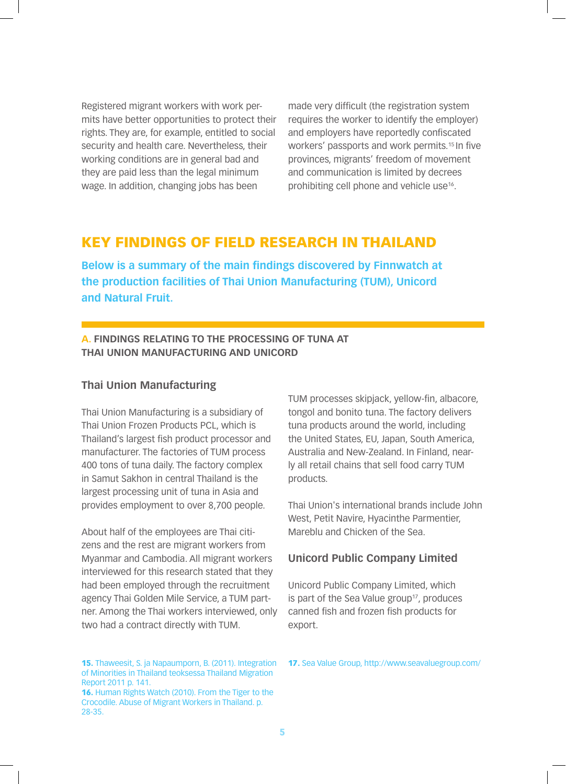Registered migrant workers with work permits have better opportunities to protect their rights. They are, for example, entitled to social security and health care. Nevertheless, their working conditions are in general bad and they are paid less than the legal minimum wage. In addition, changing jobs has been

made very difficult (the registration system requires the worker to identify the employer) and employers have reportedly confiscated workers' passports and work permits.<sup>15</sup> In five provinces, migrants' freedom of movement and communication is limited by decrees prohibiting cell phone and vehicle use<sup>16</sup>.

# KEY FINDINGS OF FIELD RESEARCH IN THAILAND

**Below is a summary of the main findings discovered by Finnwatch at the production facilities of Thai Union Manufacturing (TUM), Unicord and Natural Fruit.**

# **A. FINDINGS RELATING TO THE PROCESSING OF TUNA AT THAI UNION MANUFACTURING AND UNICORD**

# **Thai Union Manufacturing**

Thai Union Manufacturing is a subsidiary of Thai Union Frozen Products PCL, which is Thailand's largest fish product processor and manufacturer. The factories of TUM process 400 tons of tuna daily. The factory complex in Samut Sakhon in central Thailand is the largest processing unit of tuna in Asia and provides employment to over 8,700 people.

About half of the employees are Thai citizens and the rest are migrant workers from Myanmar and Cambodia. All migrant workers interviewed for this research stated that they had been employed through the recruitment agency Thai Golden Mile Service, a TUM partner. Among the Thai workers interviewed, only two had a contract directly with TUM.

15. Thaweesit, S. ja Napaumporn, B. (2011). Integration of Minorities in Thailand teoksessa Thailand Migration Report 2011 p. 141.

16. Human Rights Watch (2010). From the Tiger to the Crocodile. Abuse of Migrant Workers in Thailand. p. 28-35.

TUM processes skipjack, yellow-fin, albacore, tongol and bonito tuna. The factory delivers tuna products around the world, including the United States, EU, Japan, South America, Australia and New-Zealand. In Finland, nearly all retail chains that sell food carry TUM products.

Thai Union's international brands include John West, Petit Navire, Hyacinthe Parmentier, Mareblu and Chicken of the Sea.

# **Unicord Public Company Limited**

Unicord Public Company Limited, which is part of the Sea Value group<sup>17</sup>, produces canned fish and frozen fish products for export.

#### 17. Sea Value Group, http://www.seavaluegroup.com/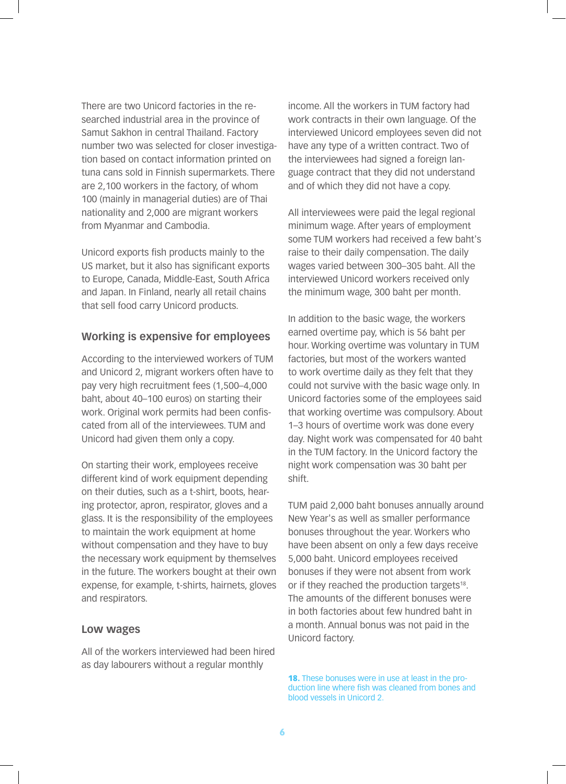There are two Unicord factories in the researched industrial area in the province of Samut Sakhon in central Thailand. Factory number two was selected for closer investigation based on contact information printed on tuna cans sold in Finnish supermarkets. There are 2,100 workers in the factory, of whom 100 (mainly in managerial duties) are of Thai nationality and 2,000 are migrant workers from Myanmar and Cambodia.

Unicord exports fish products mainly to the US market, but it also has significant exports to Europe, Canada, Middle-East, South Africa and Japan. In Finland, nearly all retail chains that sell food carry Unicord products.

# **Working is expensive for employees**

According to the interviewed workers of TUM and Unicord 2, migrant workers often have to pay very high recruitment fees (1,500–4,000 baht, about 40–100 euros) on starting their work. Original work permits had been confiscated from all of the interviewees. TUM and Unicord had given them only a copy.

On starting their work, employees receive different kind of work equipment depending on their duties, such as a t-shirt, boots, hearing protector, apron, respirator, gloves and a glass. It is the responsibility of the employees to maintain the work equipment at home without compensation and they have to buy the necessary work equipment by themselves in the future. The workers bought at their own expense, for example, t-shirts, hairnets, gloves and respirators.

#### **Low wages**

All of the workers interviewed had been hired as day labourers without a regular monthly

income. All the workers in TUM factory had work contracts in their own language. Of the interviewed Unicord employees seven did not have any type of a written contract. Two of the interviewees had signed a foreign language contract that they did not understand and of which they did not have a copy.

All interviewees were paid the legal regional minimum wage. After years of employment some TUM workers had received a few baht's raise to their daily compensation. The daily wages varied between 300–305 baht. All the interviewed Unicord workers received only the minimum wage, 300 baht per month.

In addition to the basic wage, the workers earned overtime pay, which is 56 baht per hour. Working overtime was voluntary in TUM factories, but most of the workers wanted to work overtime daily as they felt that they could not survive with the basic wage only. In Unicord factories some of the employees said that working overtime was compulsory. About 1–3 hours of overtime work was done every day. Night work was compensated for 40 baht in the TUM factory. In the Unicord factory the night work compensation was 30 baht per shift.

TUM paid 2,000 baht bonuses annually around New Year's as well as smaller performance bonuses throughout the year. Workers who have been absent on only a few days receive 5,000 baht. Unicord employees received bonuses if they were not absent from work or if they reached the production targets<sup>18</sup>. The amounts of the different bonuses were in both factories about few hundred baht in a month. Annual bonus was not paid in the Unicord factory.

18. These bonuses were in use at least in the production line where fish was cleaned from bones and blood vessels in Unicord 2.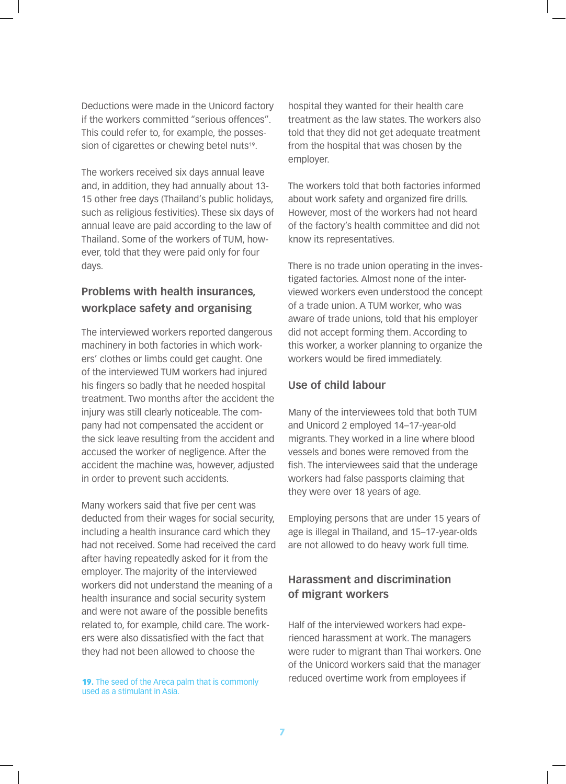Deductions were made in the Unicord factory if the workers committed "serious offences". This could refer to, for example, the possession of cigarettes or chewing betel nuts<sup>19</sup>.

The workers received six days annual leave and, in addition, they had annually about 13- 15 other free days (Thailand's public holidays, such as religious festivities). These six days of annual leave are paid according to the law of Thailand. Some of the workers of TUM, however, told that they were paid only for four days.

# **Problems with health insurances, workplace safety and organising**

The interviewed workers reported dangerous machinery in both factories in which workers' clothes or limbs could get caught. One of the interviewed TUM workers had injured his fingers so badly that he needed hospital treatment. Two months after the accident the injury was still clearly noticeable. The company had not compensated the accident or the sick leave resulting from the accident and accused the worker of negligence. After the accident the machine was, however, adjusted in order to prevent such accidents.

Many workers said that five per cent was deducted from their wages for social security, including a health insurance card which they had not received. Some had received the card after having repeatedly asked for it from the employer. The majority of the interviewed workers did not understand the meaning of a health insurance and social security system and were not aware of the possible benefits related to, for example, child care. The workers were also dissatisfied with the fact that they had not been allowed to choose the

used as a stimulant in Asia.

hospital they wanted for their health care treatment as the law states. The workers also told that they did not get adequate treatment from the hospital that was chosen by the employer.

The workers told that both factories informed about work safety and organized fire drills. However, most of the workers had not heard of the factory's health committee and did not know its representatives.

There is no trade union operating in the investigated factories. Almost none of the interviewed workers even understood the concept of a trade union. A TUM worker, who was aware of trade unions, told that his employer did not accept forming them. According to this worker, a worker planning to organize the workers would be fired immediately.

# **Use of child labour**

Many of the interviewees told that both TUM and Unicord 2 employed 14–17-year-old migrants. They worked in a line where blood vessels and bones were removed from the fish. The interviewees said that the underage workers had false passports claiming that they were over 18 years of age.

Employing persons that are under 15 years of age is illegal in Thailand, and 15–17-year-olds are not allowed to do heavy work full time.

# **Harassment and discrimination of migrant workers**

Half of the interviewed workers had experienced harassment at work. The managers were ruder to migrant than Thai workers. One of the Unicord workers said that the manager 19. The seed of the Areca palm that is commonly reduced overtime work from employees if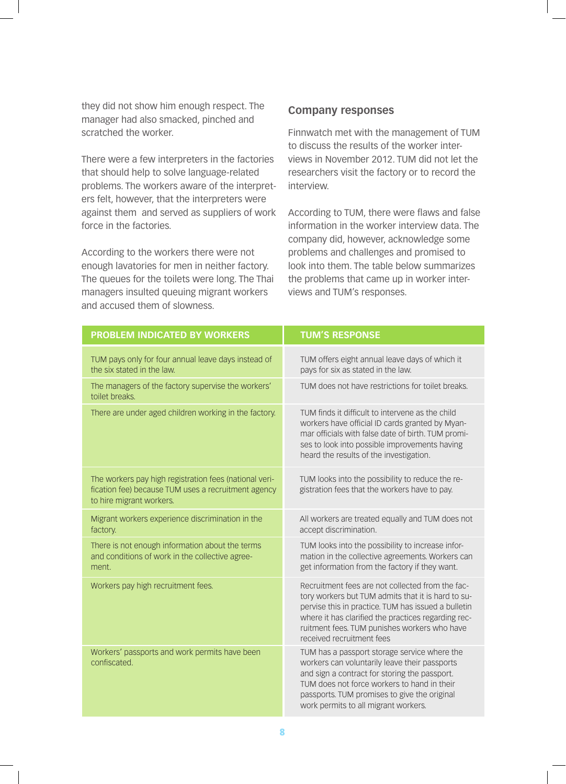they did not show him enough respect. The manager had also smacked, pinched and scratched the worker.

There were a few interpreters in the factories that should help to solve language-related problems. The workers aware of the interpreters felt, however, that the interpreters were against them and served as suppliers of work force in the factories.

According to the workers there were not enough lavatories for men in neither factory. The queues for the toilets were long. The Thai managers insulted queuing migrant workers and accused them of slowness.

#### **Company responses**

Finnwatch met with the management of TUM to discuss the results of the worker interviews in November 2012. TUM did not let the researchers visit the factory or to record the interview.

According to TUM, there were flaws and false information in the worker interview data. The company did, however, acknowledge some problems and challenges and promised to look into them. The table below summarizes the problems that came up in worker interviews and TUM's responses.

| <b>PROBLEM INDICATED BY WORKERS</b>                                                                                                       | <b>TUM'S RESPONSE</b>                                                                                                                                                                                                                                                                             |
|-------------------------------------------------------------------------------------------------------------------------------------------|---------------------------------------------------------------------------------------------------------------------------------------------------------------------------------------------------------------------------------------------------------------------------------------------------|
| TUM pays only for four annual leave days instead of<br>the six stated in the law.                                                         | TUM offers eight annual leave days of which it<br>pays for six as stated in the law.                                                                                                                                                                                                              |
| The managers of the factory supervise the workers'<br>toilet breaks.                                                                      | TUM does not have restrictions for toilet breaks.                                                                                                                                                                                                                                                 |
| There are under aged children working in the factory.                                                                                     | TUM finds it difficult to intervene as the child<br>workers have official ID cards granted by Myan-<br>mar officials with false date of birth. TUM promi-<br>ses to look into possible improvements having<br>heard the results of the investigation.                                             |
| The workers pay high registration fees (national veri-<br>fication fee) because TUM uses a recruitment agency<br>to hire migrant workers. | TUM looks into the possibility to reduce the re-<br>gistration fees that the workers have to pay.                                                                                                                                                                                                 |
| Migrant workers experience discrimination in the<br>factory.                                                                              | All workers are treated equally and TUM does not<br>accept discrimination.                                                                                                                                                                                                                        |
| There is not enough information about the terms<br>and conditions of work in the collective agree-<br>ment.                               | TUM looks into the possibility to increase infor-<br>mation in the collective agreements. Workers can<br>get information from the factory if they want.                                                                                                                                           |
| Workers pay high recruitment fees.                                                                                                        | Recruitment fees are not collected from the fac-<br>tory workers but TUM admits that it is hard to su-<br>pervise this in practice. TUM has issued a bulletin<br>where it has clarified the practices regarding rec-<br>ruitment fees. TUM punishes workers who have<br>received recruitment fees |
| Workers' passports and work permits have been<br>confiscated.                                                                             | TUM has a passport storage service where the<br>workers can voluntarily leave their passports<br>and sign a contract for storing the passport.<br>TUM does not force workers to hand in their<br>passports. TUM promises to give the original<br>work permits to all migrant workers.             |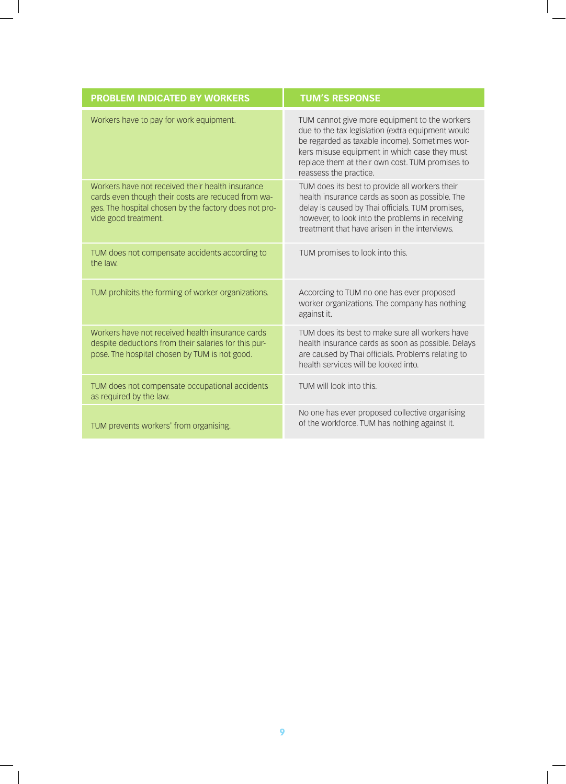| <b>PROBLEM INDICATED BY WORKERS</b>                                                                                                                                                     | <b>TUM'S RESPONSE</b>                                                                                                                                                                                                                                                              |
|-----------------------------------------------------------------------------------------------------------------------------------------------------------------------------------------|------------------------------------------------------------------------------------------------------------------------------------------------------------------------------------------------------------------------------------------------------------------------------------|
| Workers have to pay for work equipment.                                                                                                                                                 | TUM cannot give more equipment to the workers<br>due to the tax legislation (extra equipment would<br>be regarded as taxable income). Sometimes wor-<br>kers misuse equipment in which case they must<br>replace them at their own cost. TUM promises to<br>reassess the practice. |
| Workers have not received their health insurance<br>cards even though their costs are reduced from wa-<br>ges. The hospital chosen by the factory does not pro-<br>vide good treatment. | TUM does its best to provide all workers their<br>health insurance cards as soon as possible. The<br>delay is caused by Thai officials. TUM promises,<br>however, to look into the problems in receiving<br>treatment that have arisen in the interviews.                          |
| TUM does not compensate accidents according to<br>the law.                                                                                                                              | TUM promises to look into this.                                                                                                                                                                                                                                                    |
| TUM prohibits the forming of worker organizations.                                                                                                                                      | According to TUM no one has ever proposed<br>worker organizations. The company has nothing<br>against it.                                                                                                                                                                          |
| Workers have not received health insurance cards<br>despite deductions from their salaries for this pur-<br>pose. The hospital chosen by TUM is not good.                               | TUM does its best to make sure all workers have<br>health insurance cards as soon as possible. Delays<br>are caused by Thai officials. Problems relating to<br>health services will be looked into.                                                                                |
| TUM does not compensate occupational accidents<br>as required by the law.                                                                                                               | TUM will look into this.                                                                                                                                                                                                                                                           |
| TUM prevents workers' from organising.                                                                                                                                                  | No one has ever proposed collective organising<br>of the workforce. TUM has nothing against it.                                                                                                                                                                                    |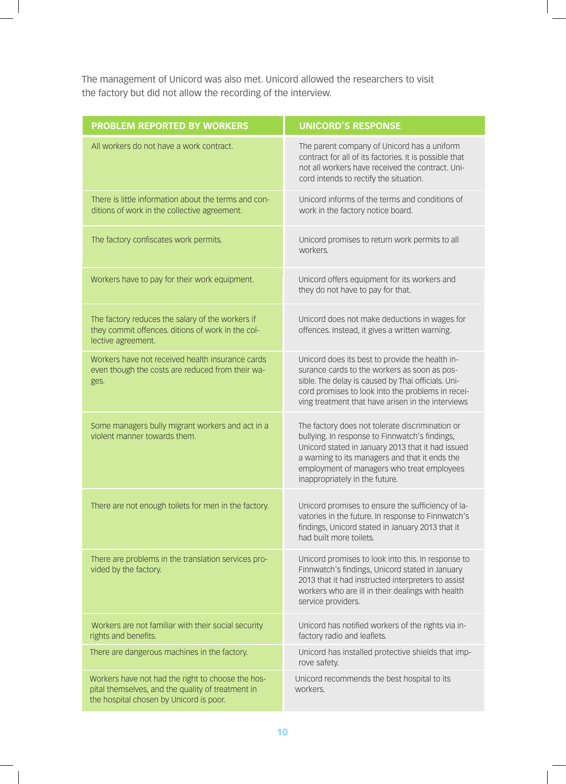The management of Unicord was also met. Unicord allowed the researchers to visit the factory but did not allow the recording of the interview.

| <b>PROBLEM REPORTED BY WORKERS</b>                                                                                                                | <b>UNICORD'S RESPONSE</b>                                                                                                                                                                                                                                                                |
|---------------------------------------------------------------------------------------------------------------------------------------------------|------------------------------------------------------------------------------------------------------------------------------------------------------------------------------------------------------------------------------------------------------------------------------------------|
| All workers do not have a work contract.                                                                                                          | The parent company of Unicord has a uniform<br>contract for all of its factories. It is possible that<br>not all workers have received the contract. Uni-<br>cord intends to rectify the situation.                                                                                      |
| There is little information about the terms and con-<br>ditions of work in the collective agreement.                                              | Unicord informs of the terms and conditions of<br>work in the factory notice board.                                                                                                                                                                                                      |
| The factory confiscates work permits.                                                                                                             | Unicord promises to return work permits to all<br>workers.                                                                                                                                                                                                                               |
| Workers have to pay for their work equipment.                                                                                                     | Unicord offers equipment for its workers and<br>they do not have to pay for that.                                                                                                                                                                                                        |
| The factory reduces the salary of the workers if<br>they commit offences. ditions of work in the col-<br>lective agreement.                       | Unicord does not make deductions in wages for<br>offences. Instead, it gives a written warning.                                                                                                                                                                                          |
| Workers have not received health insurance cards<br>even though the costs are reduced from their wa-<br>ges.                                      | Unicord does its best to provide the health in-<br>surance cards to the workers as soon as pos-<br>sible. The delay is caused by Thai officials. Uni-<br>cord promises to look into the problems in recei-<br>ving treatment that have arisen in the interviews                          |
| Some managers bully migrant workers and act in a<br>violent manner towards them.                                                                  | The factory does not tolerate discrimination or<br>bullying. In response to Finnwatch's findings,<br>Unicord stated in January 2013 that it had issued<br>a warning to its managers and that it ends the<br>employment of managers who treat employees<br>inappropriately in the future. |
| There are not enough toilets for men in the factory.                                                                                              | Unicord promises to ensure the sufficiency of la-<br>vatories in the future. In response to Finnwatch's<br>findings, Unicord stated in January 2013 that it<br>had built more toilets.                                                                                                   |
| There are problems in the translation services pro-<br>vided by the factory.                                                                      | Unicord promises to look into this. In response to<br>Finnwatch's findings, Unicord stated in January<br>2013 that it had instructed interpreters to assist<br>workers who are ill in their dealings with health<br>service providers.                                                   |
| Workers are not familiar with their social security<br>rights and benefits.                                                                       | Unicord has notified workers of the rights via in-<br>factory radio and leaflets.                                                                                                                                                                                                        |
| There are dangerous machines in the factory.                                                                                                      | Unicord has installed protective shields that imp-<br>rove safety.                                                                                                                                                                                                                       |
| Workers have not had the right to choose the hos-<br>pital themselves, and the quality of treatment in<br>the hospital chosen by Unicord is poor. | Unicord recommends the best hospital to its<br>workers.                                                                                                                                                                                                                                  |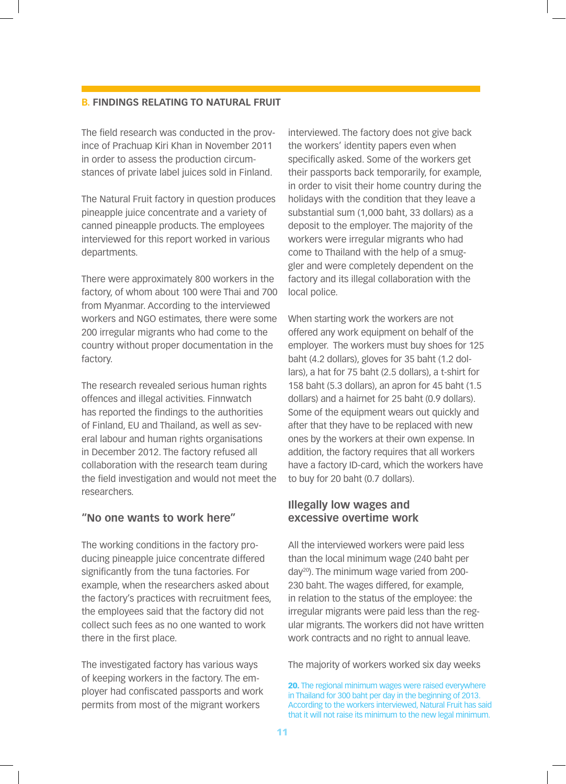#### **B. FINDINGS RELATING TO NATURAL FRUIT**

The field research was conducted in the province of Prachuap Kiri Khan in November 2011 in order to assess the production circumstances of private label juices sold in Finland.

The Natural Fruit factory in question produces pineapple juice concentrate and a variety of canned pineapple products. The employees interviewed for this report worked in various departments.

There were approximately 800 workers in the factory, of whom about 100 were Thai and 700 from Myanmar. According to the interviewed workers and NGO estimates, there were some 200 irregular migrants who had come to the country without proper documentation in the factory.

The research revealed serious human rights offences and illegal activities. Finnwatch has reported the findings to the authorities of Finland, EU and Thailand, as well as several labour and human rights organisations in December 2012. The factory refused all collaboration with the research team during the field investigation and would not meet the researchers.

#### **"No one wants to work here"**

The working conditions in the factory producing pineapple juice concentrate differed significantly from the tuna factories. For example, when the researchers asked about the factory's practices with recruitment fees, the employees said that the factory did not collect such fees as no one wanted to work there in the first place.

The investigated factory has various ways of keeping workers in the factory. The employer had confiscated passports and work permits from most of the migrant workers

interviewed. The factory does not give back the workers' identity papers even when specifically asked. Some of the workers get their passports back temporarily, for example, in order to visit their home country during the holidays with the condition that they leave a substantial sum (1,000 baht, 33 dollars) as a deposit to the employer. The majority of the workers were irregular migrants who had come to Thailand with the help of a smuggler and were completely dependent on the factory and its illegal collaboration with the local police.

When starting work the workers are not offered any work equipment on behalf of the employer. The workers must buy shoes for 125 baht (4.2 dollars), gloves for 35 baht (1.2 dollars), a hat for 75 baht (2.5 dollars), a t-shirt for 158 baht (5.3 dollars), an apron for 45 baht (1.5 dollars) and a hairnet for 25 baht (0.9 dollars). Some of the equipment wears out quickly and after that they have to be replaced with new ones by the workers at their own expense. In addition, the factory requires that all workers have a factory ID-card, which the workers have to buy for 20 baht (0.7 dollars).

## **Illegally low wages and excessive overtime work**

All the interviewed workers were paid less than the local minimum wage (240 baht per day20). The minimum wage varied from 200- 230 baht. The wages differed, for example, in relation to the status of the employee: the irregular migrants were paid less than the regular migrants. The workers did not have written work contracts and no right to annual leave.

The majority of workers worked six day weeks

<sup>20.</sup> The regional minimum wages were raised everywhere in Thailand for 300 baht per day in the beginning of 2013. According to the workers interviewed, Natural Fruit has said that it will not raise its minimum to the new legal minimum.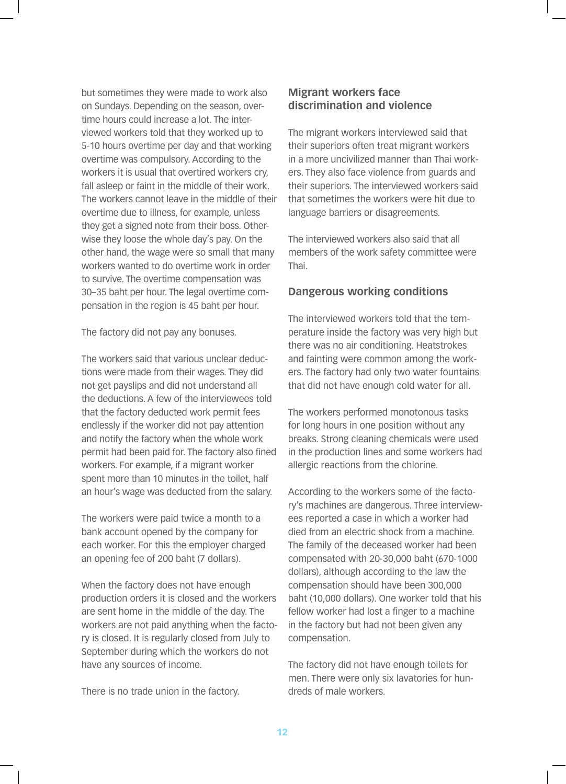but sometimes they were made to work also on Sundays. Depending on the season, overtime hours could increase a lot. The interviewed workers told that they worked up to 5-10 hours overtime per day and that working overtime was compulsory. According to the workers it is usual that overtired workers cry, fall asleep or faint in the middle of their work. The workers cannot leave in the middle of their overtime due to illness, for example, unless they get a signed note from their boss. Otherwise they loose the whole day's pay. On the other hand, the wage were so small that many workers wanted to do overtime work in order to survive. The overtime compensation was 30–35 baht per hour. The legal overtime compensation in the region is 45 baht per hour.

The factory did not pay any bonuses.

The workers said that various unclear deductions were made from their wages. They did not get payslips and did not understand all the deductions. A few of the interviewees told that the factory deducted work permit fees endlessly if the worker did not pay attention and notify the factory when the whole work permit had been paid for. The factory also fined workers. For example, if a migrant worker spent more than 10 minutes in the toilet, half an hour's wage was deducted from the salary.

The workers were paid twice a month to a bank account opened by the company for each worker. For this the employer charged an opening fee of 200 baht (7 dollars).

When the factory does not have enough production orders it is closed and the workers are sent home in the middle of the day. The workers are not paid anything when the factory is closed. It is regularly closed from July to September during which the workers do not have any sources of income.

There is no trade union in the factory.

# **Migrant workers face discrimination and violence**

The migrant workers interviewed said that their superiors often treat migrant workers in a more uncivilized manner than Thai workers. They also face violence from guards and their superiors. The interviewed workers said that sometimes the workers were hit due to language barriers or disagreements.

The interviewed workers also said that all members of the work safety committee were Thai.

# **Dangerous working conditions**

The interviewed workers told that the temperature inside the factory was very high but there was no air conditioning. Heatstrokes and fainting were common among the workers. The factory had only two water fountains that did not have enough cold water for all.

The workers performed monotonous tasks for long hours in one position without any breaks. Strong cleaning chemicals were used in the production lines and some workers had allergic reactions from the chlorine.

According to the workers some of the factory's machines are dangerous. Three interviewees reported a case in which a worker had died from an electric shock from a machine. The family of the deceased worker had been compensated with 20-30,000 baht (670-1000 dollars), although according to the law the compensation should have been 300,000 baht (10,000 dollars). One worker told that his fellow worker had lost a finger to a machine in the factory but had not been given any compensation.

The factory did not have enough toilets for men. There were only six lavatories for hundreds of male workers.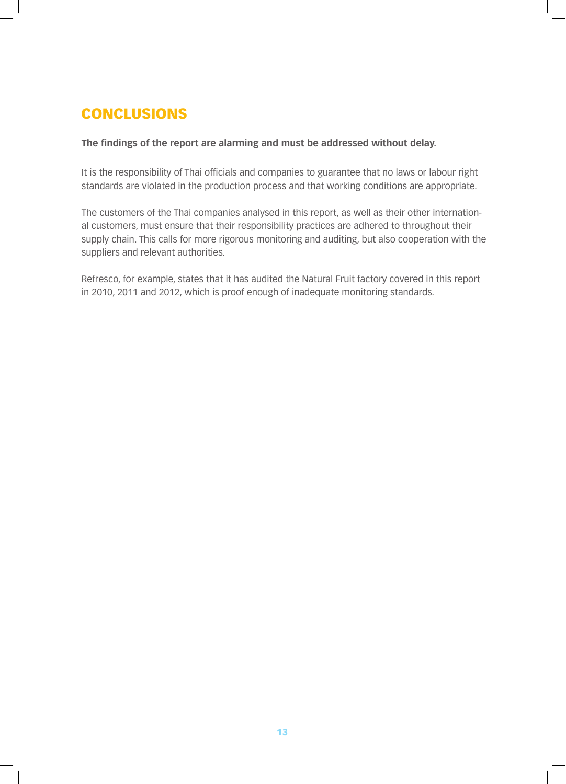# **CONCLUSIONS**

# **The findings of the report are alarming and must be addressed without delay.**

It is the responsibility of Thai officials and companies to guarantee that no laws or labour right standards are violated in the production process and that working conditions are appropriate.

The customers of the Thai companies analysed in this report, as well as their other international customers, must ensure that their responsibility practices are adhered to throughout their supply chain. This calls for more rigorous monitoring and auditing, but also cooperation with the suppliers and relevant authorities.

Refresco, for example, states that it has audited the Natural Fruit factory covered in this report in 2010, 2011 and 2012, which is proof enough of inadequate monitoring standards.